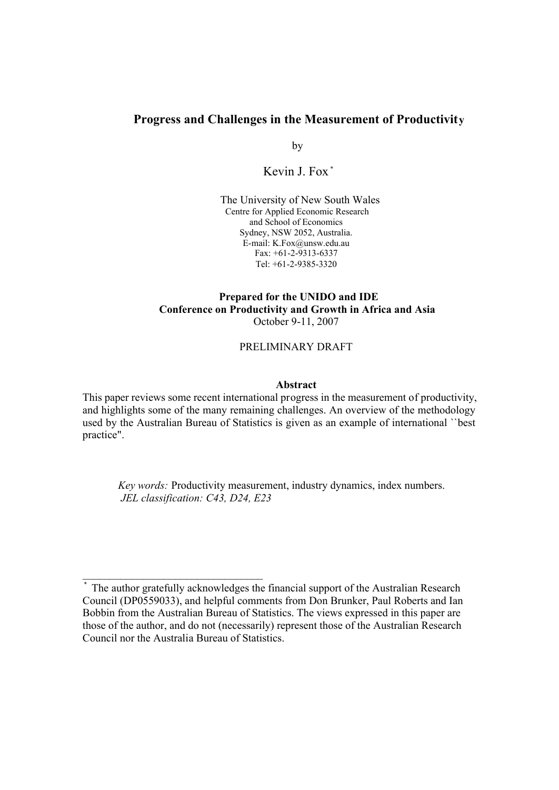# **Progress and Challenges in the Measurement of Productivity**

by

Kevin J. Fox\*

 The University of New South Wales Centre for Applied Economic Research and School of Economics Sydney, NSW 2052, Australia. E-mail: K.Fox@unsw.edu.au Fax: +61-2-9313-6337 Tel: +61-2-9385-3320

## **Prepared for the UNIDO and IDE Conference on Productivity and Growth in Africa and Asia** October 9-11, 2007

#### PRELIMINARY DRAFT

#### **Abstract**

This paper reviews some recent international progress in the measurement of productivity, and highlights some of the many remaining challenges. An overview of the methodology used by the Australian Bureau of Statistics is given as an example of international ``best practice".

 *Key words:* Productivity measurement, industry dynamics, index numbers.  *JEL classification: C43, D24, E23*

 $\mathcal{L}_\text{max}$  , and the set of the set of the set of the set of the set of the set of the set of the set of the set of the set of the set of the set of the set of the set of the set of the set of the set of the set of the

<sup>\*</sup> The author gratefully acknowledges the financial support of the Australian Research Council (DP0559033), and helpful comments from Don Brunker, Paul Roberts and Ian Bobbin from the Australian Bureau of Statistics. The views expressed in this paper are those of the author, and do not (necessarily) represent those of the Australian Research Council nor the Australia Bureau of Statistics.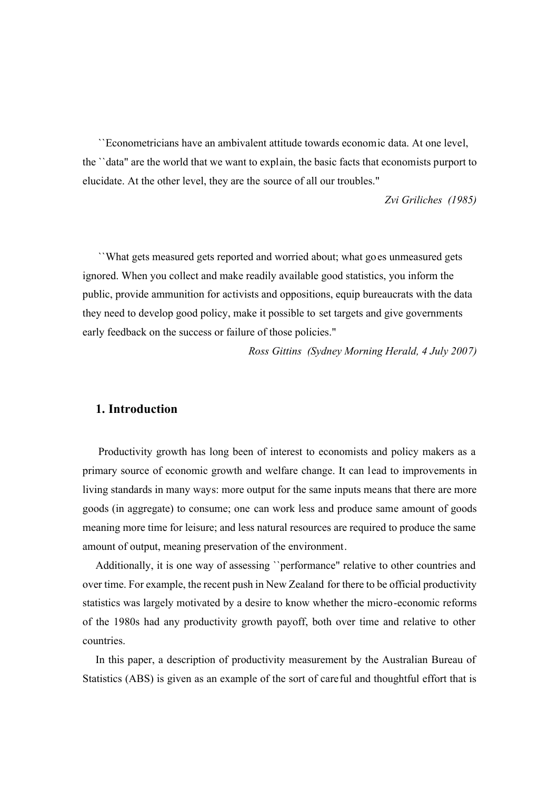``Econometricians have an ambivalent attitude towards economic data. At one level, the ``data" are the world that we want to explain, the basic facts that economists purport to elucidate. At the other level, they are the source of all our troubles."

*Zvi Griliches (1985)* 

 ``What gets measured gets reported and worried about; what goes unmeasured gets ignored. When you collect and make readily available good statistics, you inform the public, provide ammunition for activists and oppositions, equip bureaucrats with the data they need to develop good policy, make it possible to set targets and give governments early feedback on the success or failure of those policies."

*Ross Gittins (Sydney Morning Herald, 4 July 2007)* 

## **1. Introduction**

Productivity growth has long been of interest to economists and policy makers as a primary source of economic growth and welfare change. It can lead to improvements in living standards in many ways: more output for the same inputs means that there are more goods (in aggregate) to consume; one can work less and produce same amount of goods meaning more time for leisure; and less natural resources are required to produce the same amount of output, meaning preservation of the environment.

Additionally, it is one way of assessing ``performance" relative to other countries and over time. For example, the recent push in New Zealand for there to be official productivity statistics was largely motivated by a desire to know whether the micro-economic reforms of the 1980s had any productivity growth payoff, both over time and relative to other countries.

In this paper, a description of productivity measurement by the Australian Bureau of Statistics (ABS) is given as an example of the sort of careful and thoughtful effort that is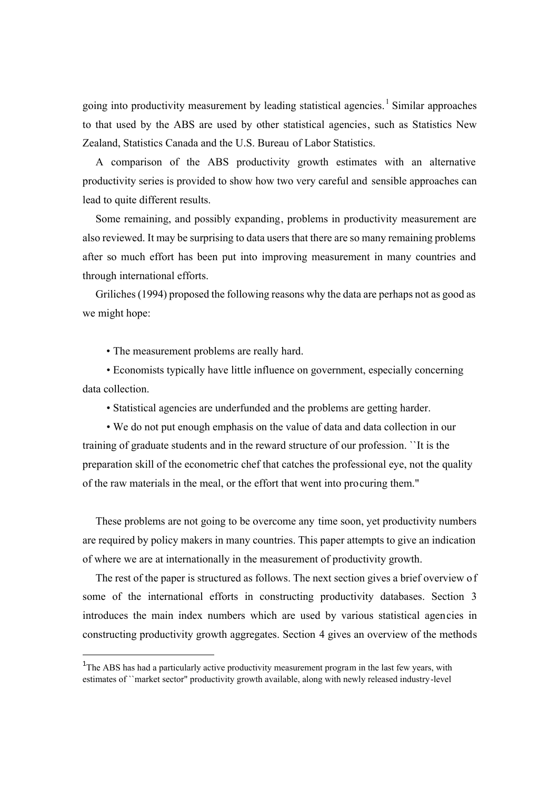going into productivity measurement by leading statistical agencies.<sup>1</sup> Similar approaches to that used by the ABS are used by other statistical agencies, such as Statistics New Zealand, Statistics Canada and the U.S. Bureau of Labor Statistics.

A comparison of the ABS productivity growth estimates with an alternative productivity series is provided to show how two very careful and sensible approaches can lead to quite different results.

Some remaining, and possibly expanding, problems in productivity measurement are also reviewed. It may be surprising to data users that there are so many remaining problems after so much effort has been put into improving measurement in many countries and through international efforts.

Griliches (1994) proposed the following reasons why the data are perhaps not as good as we might hope:

• The measurement problems are really hard.

<u>.</u>

 • Economists typically have little influence on government, especially concerning data collection.

• Statistical agencies are underfunded and the problems are getting harder.

 • We do not put enough emphasis on the value of data and data collection in our training of graduate students and in the reward structure of our profession. ``It is the preparation skill of the econometric chef that catches the professional eye, not the quality of the raw materials in the meal, or the effort that went into procuring them."

These problems are not going to be overcome any time soon, yet productivity numbers are required by policy makers in many countries. This paper attempts to give an indication of where we are at internationally in the measurement of productivity growth.

The rest of the paper is structured as follows. The next section gives a brief overview of some of the international efforts in constructing productivity databases. Section 3 introduces the main index numbers which are used by various statistical agencies in constructing productivity growth aggregates. Section 4 gives an overview of the methods

<sup>&</sup>lt;sup>1</sup>The ABS has had a particularly active productivity measurement program in the last few years, with estimates of ``market sector" productivity growth available, along with newly released industry-level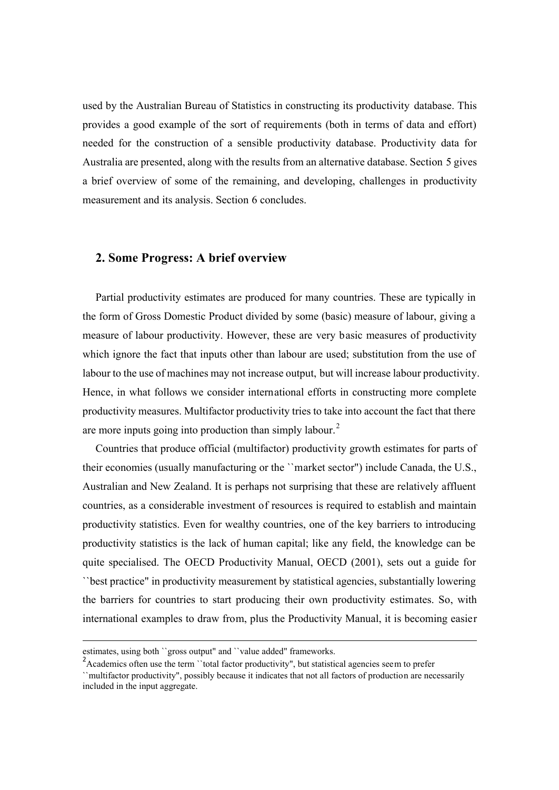used by the Australian Bureau of Statistics in constructing its productivity database. This provides a good example of the sort of requirements (both in terms of data and effort) needed for the construction of a sensible productivity database. Productivity data for Australia are presented, along with the results from an alternative database. Section 5 gives a brief overview of some of the remaining, and developing, challenges in productivity measurement and its analysis. Section 6 concludes.

## **2. Some Progress: A brief overview**

Partial productivity estimates are produced for many countries. These are typically in the form of Gross Domestic Product divided by some (basic) measure of labour, giving a measure of labour productivity. However, these are very basic measures of productivity which ignore the fact that inputs other than labour are used; substitution from the use of labour to the use of machines may not increase output, but will increase labour productivity. Hence, in what follows we consider international efforts in constructing more complete productivity measures. Multifactor productivity tries to take into account the fact that there are more inputs going into production than simply labour.<sup>2</sup>

Countries that produce official (multifactor) productivity growth estimates for parts of their economies (usually manufacturing or the ``market sector") include Canada, the U.S., Australian and New Zealand. It is perhaps not surprising that these are relatively affluent countries, as a considerable investment of resources is required to establish and maintain productivity statistics. Even for wealthy countries, one of the key barriers to introducing productivity statistics is the lack of human capital; like any field, the knowledge can be quite specialised. The OECD Productivity Manual, OECD (2001), sets out a guide for ``best practice" in productivity measurement by statistical agencies, substantially lowering the barriers for countries to start producing their own productivity estimates. So, with international examples to draw from, plus the Productivity Manual, it is becoming easier

estimates, using both ``gross output" and ``value added" frameworks.

<sup>&</sup>lt;sup>2</sup> Academics often use the term ``total factor productivity", but statistical agencies seem to prefer

<sup>``</sup>multifactor productivity", possibly because it indicates that not all factors of production are necessarily included in the input aggregate.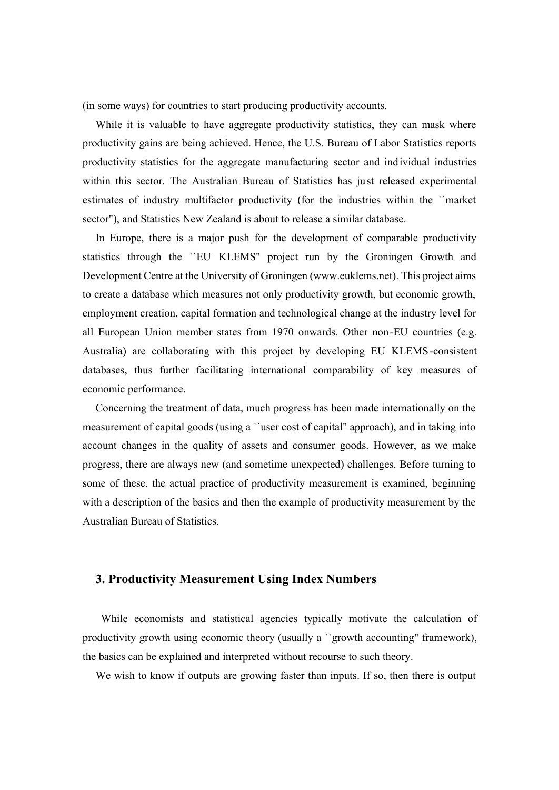(in some ways) for countries to start producing productivity accounts.

While it is valuable to have aggregate productivity statistics, they can mask where productivity gains are being achieved. Hence, the U.S. Bureau of Labor Statistics reports productivity statistics for the aggregate manufacturing sector and individual industries within this sector. The Australian Bureau of Statistics has just released experimental estimates of industry multifactor productivity (for the industries within the ``market sector"), and Statistics New Zealand is about to release a similar database.

In Europe, there is a major push for the development of comparable productivity statistics through the ``EU KLEMS" project run by the Groningen Growth and Development Centre at the University of Groningen (www.euklems.net). This project aims to create a database which measures not only productivity growth, but economic growth, employment creation, capital formation and technological change at the industry level for all European Union member states from 1970 onwards. Other non-EU countries (e.g. Australia) are collaborating with this project by developing EU KLEMS-consistent databases, thus further facilitating international comparability of key measures of economic performance.

Concerning the treatment of data, much progress has been made internationally on the measurement of capital goods (using a ``user cost of capital" approach), and in taking into account changes in the quality of assets and consumer goods. However, as we make progress, there are always new (and sometime unexpected) challenges. Before turning to some of these, the actual practice of productivity measurement is examined, beginning with a description of the basics and then the example of productivity measurement by the Australian Bureau of Statistics.

## **3. Productivity Measurement Using Index Numbers**

While economists and statistical agencies typically motivate the calculation of productivity growth using economic theory (usually a ``growth accounting" framework), the basics can be explained and interpreted without recourse to such theory.

We wish to know if outputs are growing faster than inputs. If so, then there is output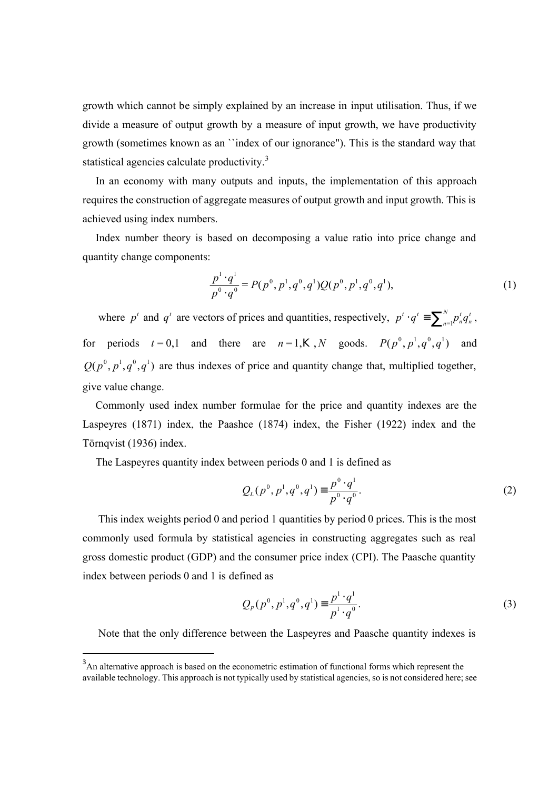growth which cannot be simply explained by an increase in input utilisation. Thus, if we divide a measure of output growth by a measure of input growth, we have productivity growth (sometimes known as an ``index of our ignorance"). This is the standard way that statistical agencies calculate productivity.<sup>3</sup>

In an economy with many outputs and inputs, the implementation of this approach requires the construction of aggregate measures of output growth and input growth. This is achieved using index numbers.

Index number theory is based on decomposing a value ratio into price change and quantity change components:

$$
\frac{p^1 \cdot q^1}{p^0 \cdot q^0} = P(p^0, p^1, q^0, q^1) Q(p^0, p^1, q^0, q^1),\tag{1}
$$

where  $p^t$  and  $q^t$  are vectors of prices and quantities, respectively,  $p^t \cdot q^t \equiv \sum_{n=1}^{N} p_n^t q_n^t$ *t n N n*  $p^t \cdot q^t \equiv \sum_{n=1}^N p_n^t q_n^t$ for periods  $t = 0,1$  and there are  $n = 1, K, N$  goods.  $P(p^0, p^1, q^0, q^1)$  and  $Q(p^0, p^1, q^0, q^1)$  are thus indexes of price and quantity change that, multiplied together, give value change.

Commonly used index number formulae for the price and quantity indexes are the Laspeyres (1871) index, the Paashce (1874) index, the Fisher (1922) index and the Törnqvist (1936) index.

The Laspeyres quantity index between periods 0 and 1 is defined as

1

$$
Q_L(p^0, p^1, q^0, q^1) \equiv \frac{p^0 \cdot q^1}{p^0 \cdot q^0}.
$$
 (2)

This index weights period 0 and period 1 quantities by period 0 prices. This is the most commonly used formula by statistical agencies in constructing aggregates such as real gross domestic product (GDP) and the consumer price index (CPI). The Paasche quantity index between periods 0 and 1 is defined as

$$
Q_P(p^0, p^1, q^0, q^1) \equiv \frac{p^1 \cdot q^1}{p^1 \cdot q^0}.
$$
 (3)

Note that the only difference between the Laspeyres and Paasche quantity indexes is

<sup>&</sup>lt;sup>3</sup>An alternative approach is based on the econometric estimation of functional forms which represent the available technology. This approach is not typically used by statistical agencies, so is not considered here; see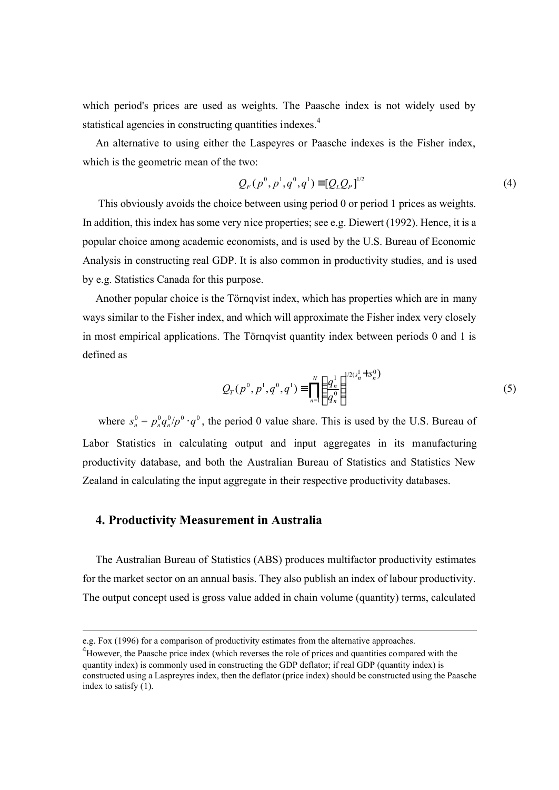which period's prices are used as weights. The Paasche index is not widely used by statistical agencies in constructing quantities indexes.<sup>4</sup>

An alternative to using either the Laspeyres or Paasche indexes is the Fisher index, which is the geometric mean of the two:

$$
Q_F(p^0, p^1, q^0, q^1) \equiv [Q_L Q_p]^{1/2}
$$
 (4)

This obviously avoids the choice between using period 0 or period 1 prices as weights. In addition, this index has some very nice properties; see e.g. Diewert (1992). Hence, it is a popular choice among academic economists, and is used by the U.S. Bureau of Economic Analysis in constructing real GDP. It is also common in productivity studies, and is used by e.g. Statistics Canada for this purpose.

Another popular choice is the Törnqvist index, which has properties which are in many ways similar to the Fisher index, and which will approximate the Fisher index very closely in most empirical applications. The Törnqvist quantity index between periods 0 and 1 is defined as

$$
Q_T(p^0, p^1, q^0, q^1) \equiv \prod_{n=1}^N \left(\frac{q_n^1}{q_n^0}\right)^{1/2(s_n^1 + S_n^0)}
$$
(5)

where  $s_n^0 = p_n^0 q_n^0 / p^0 \cdot q^0$ , the period 0 value share. This is used by the U.S. Bureau of Labor Statistics in calculating output and input aggregates in its manufacturing productivity database, and both the Australian Bureau of Statistics and Statistics New Zealand in calculating the input aggregate in their respective productivity databases.

## **4. Productivity Measurement in Australia**

1

The Australian Bureau of Statistics (ABS) produces multifactor productivity estimates for the market sector on an annual basis. They also publish an index of labour productivity. The output concept used is gross value added in chain volume (quantity) terms, calculated

e.g. Fox (1996) for a comparison of productivity estimates from the alternative approaches.

However, the Paasche price index (which reverses the role of prices and quantities compared with the quantity index) is commonly used in constructing the GDP deflator; if real GDP (quantity index) is constructed using a Laspreyres index, then the deflator (price index) should be constructed using the Paasche index to satisfy (1).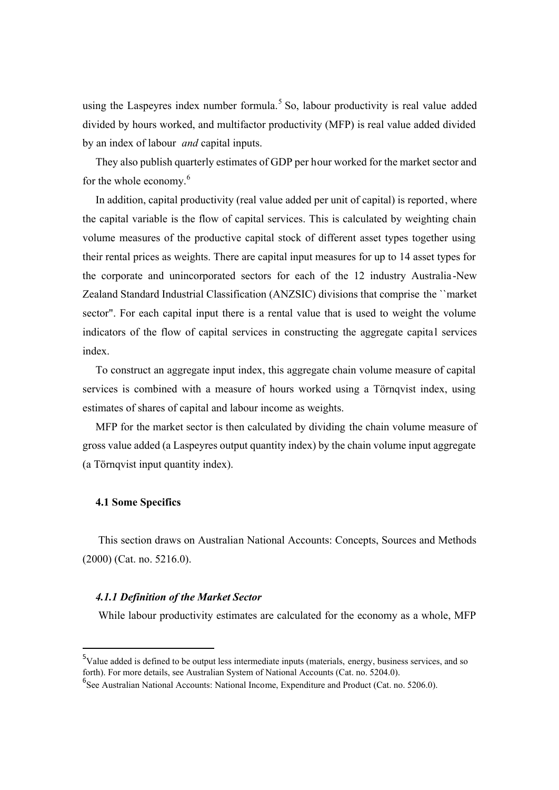using the Laspeyres index number formula.<sup>5</sup> So, labour productivity is real value added divided by hours worked, and multifactor productivity (MFP) is real value added divided by an index of labour *and* capital inputs.

They also publish quarterly estimates of GDP per hour worked for the market sector and for the whole economy.<sup>6</sup>

In addition, capital productivity (real value added per unit of capital) is reported, where the capital variable is the flow of capital services. This is calculated by weighting chain volume measures of the productive capital stock of different asset types together using their rental prices as weights. There are capital input measures for up to 14 asset types for the corporate and unincorporated sectors for each of the 12 industry Australia -New Zealand Standard Industrial Classification (ANZSIC) divisions that comprise the ``market sector". For each capital input there is a rental value that is used to weight the volume indicators of the flow of capital services in constructing the aggregate capital services index.

To construct an aggregate input index, this aggregate chain volume measure of capital services is combined with a measure of hours worked using a Törnqvist index, using estimates of shares of capital and labour income as weights.

MFP for the market sector is then calculated by dividing the chain volume measure of gross value added (a Laspeyres output quantity index) by the chain volume input aggregate (a Törnqvist input quantity index).

### **4.1 Some Specifics**

1

This section draws on Australian National Accounts: Concepts, Sources and Methods (2000) (Cat. no. 5216.0).

## *4.1.1 Definition of the Market Sector*

While labour productivity estimates are calculated for the economy as a whole, MFP

<sup>&</sup>lt;sup>5</sup>Value added is defined to be output less intermediate inputs (materials, energy, business services, and so forth). For more details, see Australian System of National Accounts (Cat. no. 5204.0).

<sup>&</sup>lt;sup>6</sup>See Australian National Accounts: National Income, Expenditure and Product (Cat. no. 5206.0).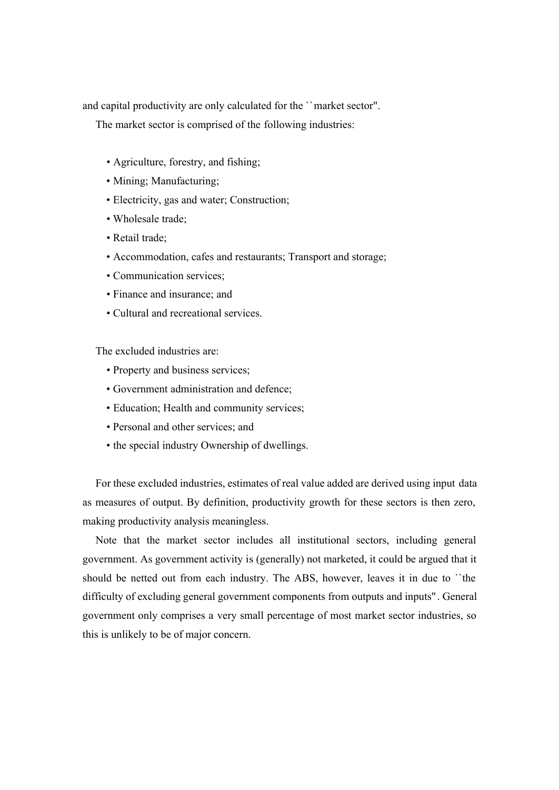and capital productivity are only calculated for the ``market sector".

The market sector is comprised of the following industries:

- Agriculture, forestry, and fishing;
- Mining; Manufacturing;
- Electricity, gas and water; Construction;
- Wholesale trade:
- Retail trade;
- Accommodation, cafes and restaurants; Transport and storage;
- Communication services;
- Finance and insurance; and
- Cultural and recreational services.

The excluded industries are:

- Property and business services;
- Government administration and defence;
- Education; Health and community services;
- Personal and other services; and
- the special industry Ownership of dwellings.

For these excluded industries, estimates of real value added are derived using input data as measures of output. By definition, productivity growth for these sectors is then zero, making productivity analysis meaningless.

Note that the market sector includes all institutional sectors, including general government. As government activity is (generally) not marketed, it could be argued that it should be netted out from each industry. The ABS, however, leaves it in due to ``the difficulty of excluding general government components from outputs and inputs" . General government only comprises a very small percentage of most market sector industries, so this is unlikely to be of major concern.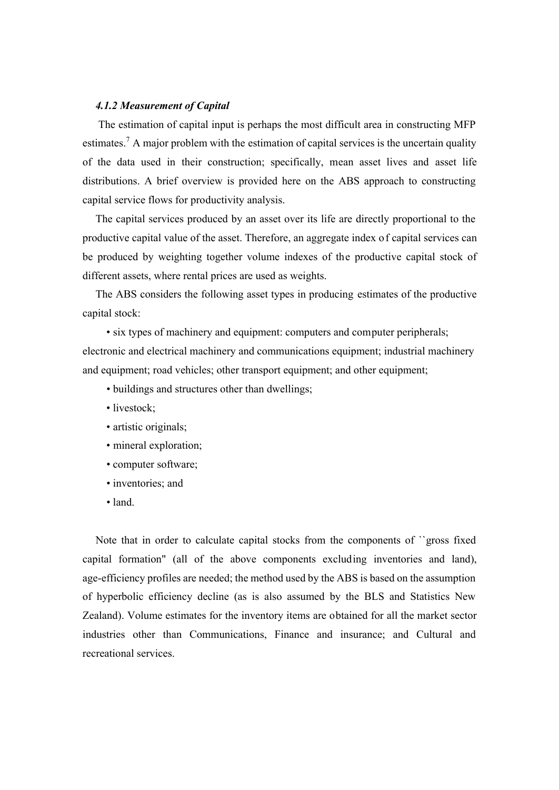#### *4.1.2 Measurement of Capital*

The estimation of capital input is perhaps the most difficult area in constructing MFP estimates.<sup>7</sup> A major problem with the estimation of capital services is the uncertain quality of the data used in their construction; specifically, mean asset lives and asset life distributions. A brief overview is provided here on the ABS approach to constructing capital service flows for productivity analysis.

The capital services produced by an asset over its life are directly proportional to the productive capital value of the asset. Therefore, an aggregate index of capital services can be produced by weighting together volume indexes of the productive capital stock of different assets, where rental prices are used as weights.

The ABS considers the following asset types in producing estimates of the productive capital stock:

 • six types of machinery and equipment: computers and computer peripherals; electronic and electrical machinery and communications equipment; industrial machinery and equipment; road vehicles; other transport equipment; and other equipment;

- buildings and structures other than dwellings;
- livestock;
- artistic originals;
- mineral exploration;
- computer software;
- inventories; and
- land.

Note that in order to calculate capital stocks from the components of ``gross fixed capital formation" (all of the above components excluding inventories and land), age-efficiency profiles are needed; the method used by the ABS is based on the assumption of hyperbolic efficiency decline (as is also assumed by the BLS and Statistics New Zealand). Volume estimates for the inventory items are obtained for all the market sector industries other than Communications, Finance and insurance; and Cultural and recreational services.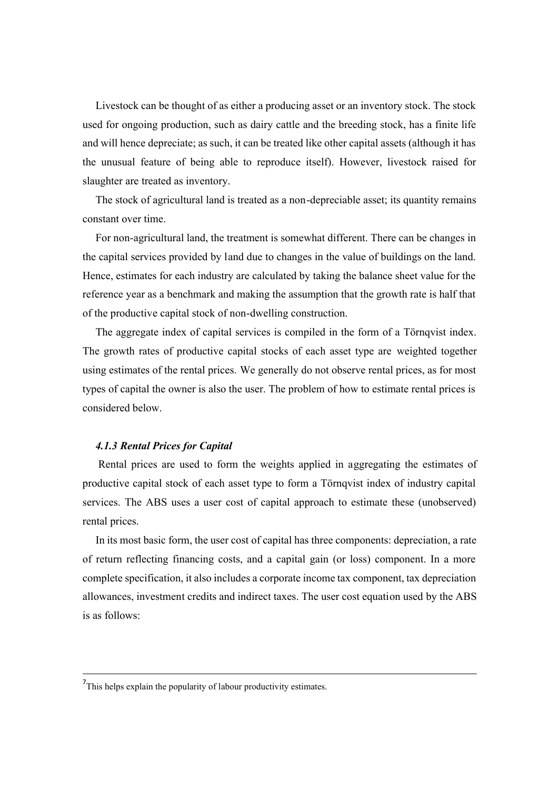Livestock can be thought of as either a producing asset or an inventory stock. The stock used for ongoing production, such as dairy cattle and the breeding stock, has a finite life and will hence depreciate; as such, it can be treated like other capital assets (although it has the unusual feature of being able to reproduce itself). However, livestock raised for slaughter are treated as inventory.

The stock of agricultural land is treated as a non-depreciable asset; its quantity remains constant over time.

For non-agricultural land, the treatment is somewhat different. There can be changes in the capital services provided by land due to changes in the value of buildings on the land. Hence, estimates for each industry are calculated by taking the balance sheet value for the reference year as a benchmark and making the assumption that the growth rate is half that of the productive capital stock of non-dwelling construction.

The aggregate index of capital services is compiled in the form of a Törnqvist index. The growth rates of productive capital stocks of each asset type are weighted together using estimates of the rental prices. We generally do not observe rental prices, as for most types of capital the owner is also the user. The problem of how to estimate rental prices is considered below.

### *4.1.3 Rental Prices for Capital*

Rental prices are used to form the weights applied in aggregating the estimates of productive capital stock of each asset type to form a Törnqvist index of industry capital services. The ABS uses a user cost of capital approach to estimate these (unobserved) rental prices.

In its most basic form, the user cost of capital has three components: depreciation, a rate of return reflecting financing costs, and a capital gain (or loss) component. In a more complete specification, it also includes a corporate income tax component, tax depreciation allowances, investment credits and indirect taxes. The user cost equation used by the ABS is as follows:

 $7$ This helps explain the popularity of labour productivity estimates.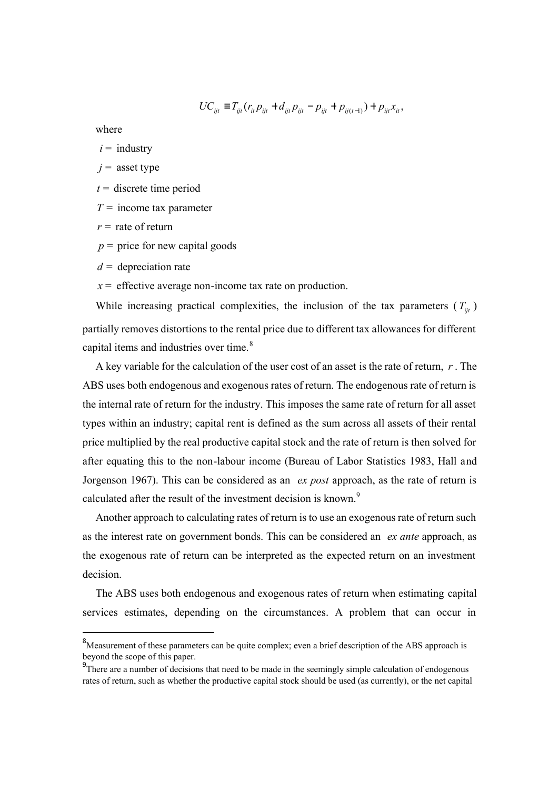$$
UC_{ijt} \equiv T_{ijt}(r_{it}p_{ijt} + d_{ijt}p_{ijt} - p_{ijt} + p_{ij(t-1)}) + p_{ijt}x_{it},
$$

where

1

 $i =$  industry

$$
j
$$
 = asset type

- $t =$  discrete time period
- *T* = income tax parameter
- $r =$  rate of return
- $p =$  price for new capital goods
- $d =$  depreciation rate
- $x =$  effective average non-income tax rate on production.

While increasing practical complexities, the inclusion of the tax parameters  $(T_{ijt})$ partially removes distortions to the rental price due to different tax allowances for different capital items and industries over time.<sup>8</sup>

A key variable for the calculation of the user cost of an asset is the rate of return, *r* . The ABS uses both endogenous and exogenous rates of return. The endogenous rate of return is the internal rate of return for the industry. This imposes the same rate of return for all asset types within an industry; capital rent is defined as the sum across all assets of their rental price multiplied by the real productive capital stock and the rate of return is then solved for after equating this to the non-labour income (Bureau of Labor Statistics 1983, Hall and Jorgenson 1967). This can be considered as an *ex post* approach, as the rate of return is calculated after the result of the investment decision is known.<sup>9</sup>

Another approach to calculating rates of return is to use an exogenous rate of return such as the interest rate on government bonds. This can be considered an *ex ante* approach, as the exogenous rate of return can be interpreted as the expected return on an investment decision.

The ABS uses both endogenous and exogenous rates of return when estimating capital services estimates, depending on the circumstances. A problem that can occur in

<sup>&</sup>lt;sup>8</sup>Measurement of these parameters can be quite complex; even a brief description of the ABS approach is beyond the scope of this paper.

<sup>&</sup>lt;sup>9</sup>There are a number of decisions that need to be made in the seemingly simple calculation of endogenous rates of return, such as whether the productive capital stock should be used (as currently), or the net capital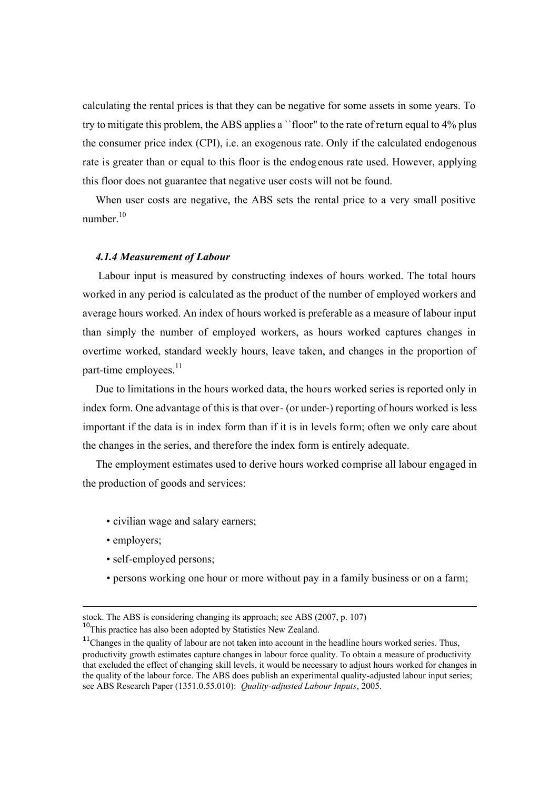calculating the rental prices is that they can be negative for some assets in some years. To try to mitigate this problem, the ABS applies a ``floor" to the rate of return equal to 4% plus the consumer price index (CPI), i.e. an exogenous rate. Only if the calculated endogenous rate is greater than or equal to this floor is the endogenous rate used. However, applying this floor does not guarantee that negative user costs will not be found.

When user costs are negative, the ABS sets the rental price to a very small positive number $10$ 

#### *4.1.4 Measurement of Labour*

Labour input is measured by constructing indexes of hours worked. The total hours worked in any period is calculated as the product of the number of employed workers and average hours worked. An index of hours worked is preferable as a measure of labour input than simply the number of employed workers, as hours worked captures changes in overtime worked, standard weekly hours, leave taken, and changes in the proportion of part-time employees. $11$ 

Due to limitations in the hours worked data, the hours worked series is reported only in index form. One advantage of this is that over- (or under-) reporting of hours worked is less important if the data is in index form than if it is in levels form; often we only care about the changes in the series, and therefore the index form is entirely adequate.

The employment estimates used to derive hours worked comprise all labour engaged in the production of goods and services:

- civilian wage and salary earners;
- employers;

- self-employed persons;
- persons working one hour or more without pay in a family business or on a farm;

stock. The ABS is considering changing its approach; see ABS (2007, p. 107)

 $10$ This practice has also been adopted by Statistics New Zealand.

<sup>&</sup>lt;sup>11</sup>Changes in the quality of labour are not taken into account in the headline hours worked series. Thus, productivity growth estimates capture changes in labour force quality. To obtain a measure of productivity that excluded the effect of changing skill levels, it would be necessary to adjust hours worked for changes in the quality of the labour force. The ABS does publish an experimental quality-adjusted labour input series; see ABS Research Paper (1351.0.55.010): *Quality-adjusted Labour Inputs*, 2005.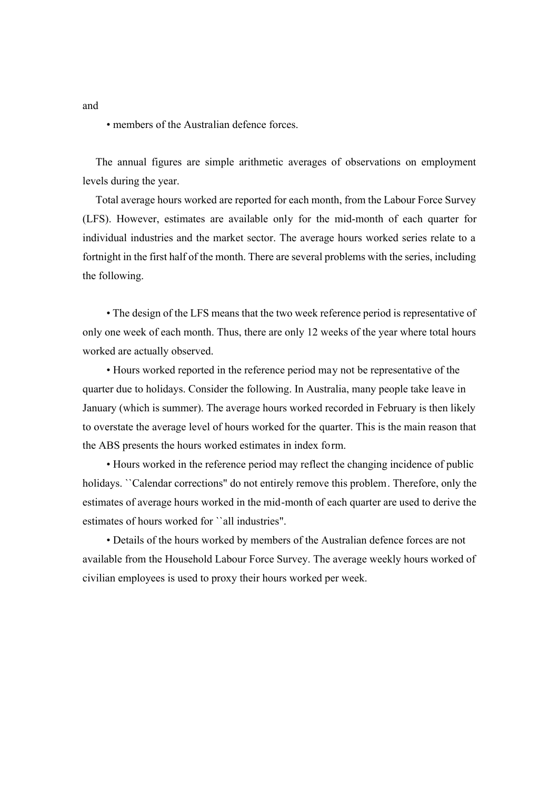• members of the Australian defence forces.

The annual figures are simple arithmetic averages of observations on employment levels during the year.

Total average hours worked are reported for each month, from the Labour Force Survey (LFS). However, estimates are available only for the mid-month of each quarter for individual industries and the market sector. The average hours worked series relate to a fortnight in the first half of the month. There are several problems with the series, including the following.

• The design of the LFS means that the two week reference period is representative of only one week of each month. Thus, there are only 12 weeks of the year where total hours worked are actually observed.

 • Hours worked reported in the reference period may not be representative of the quarter due to holidays. Consider the following. In Australia, many people take leave in January (which is summer). The average hours worked recorded in February is then likely to overstate the average level of hours worked for the quarter. This is the main reason that the ABS presents the hours worked estimates in index form.

 • Hours worked in the reference period may reflect the changing incidence of public holidays. ``Calendar corrections" do not entirely remove this problem. Therefore, only the estimates of average hours worked in the mid-month of each quarter are used to derive the estimates of hours worked for ``all industries".

 • Details of the hours worked by members of the Australian defence forces are not available from the Household Labour Force Survey. The average weekly hours worked of civilian employees is used to proxy their hours worked per week.

and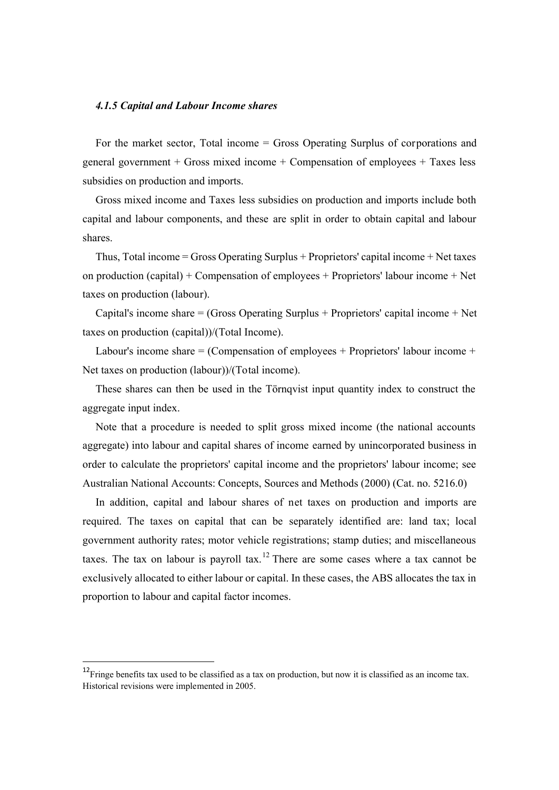#### *4.1.5 Capital and Labour Income shares*

For the market sector, Total income = Gross Operating Surplus of corporations and general government + Gross mixed income + Compensation of employees + Taxes less subsidies on production and imports.

Gross mixed income and Taxes less subsidies on production and imports include both capital and labour components, and these are split in order to obtain capital and labour shares.

Thus, Total income = Gross Operating Surplus + Proprietors' capital income + Net taxes on production (capital) + Compensation of employees + Proprietors' labour income + Net taxes on production (labour).

Capital's income share = (Gross Operating Surplus + Proprietors' capital income + Net taxes on production (capital))/(Total Income).

Labour's income share = (Compensation of employees + Proprietors' labour income + Net taxes on production (labour))/(Total income).

These shares can then be used in the Törnqvist input quantity index to construct the aggregate input index.

Note that a procedure is needed to split gross mixed income (the national accounts aggregate) into labour and capital shares of income earned by unincorporated business in order to calculate the proprietors' capital income and the proprietors' labour income; see Australian National Accounts: Concepts, Sources and Methods (2000) (Cat. no. 5216.0)

In addition, capital and labour shares of net taxes on production and imports are required. The taxes on capital that can be separately identified are: land tax; local government authority rates; motor vehicle registrations; stamp duties; and miscellaneous taxes. The tax on labour is payroll tax.<sup>12</sup> There are some cases where a tax cannot be exclusively allocated to either labour or capital. In these cases, the ABS allocates the tax in proportion to labour and capital factor incomes.

<sup>&</sup>lt;sup>12</sup> Fringe benefits tax used to be classified as a tax on production, but now it is classified as an income tax. Historical revisions were implemented in 2005.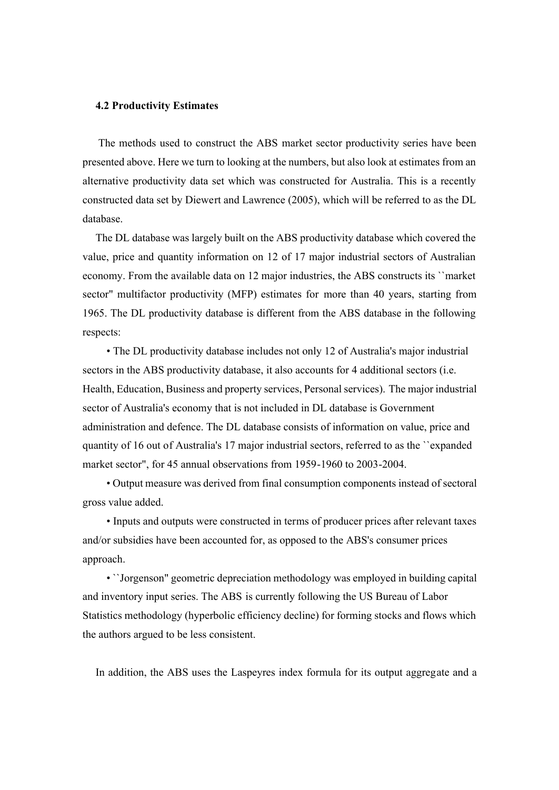#### **4.2 Productivity Estimates**

The methods used to construct the ABS market sector productivity series have been presented above. Here we turn to looking at the numbers, but also look at estimates from an alternative productivity data set which was constructed for Australia. This is a recently constructed data set by Diewert and Lawrence (2005), which will be referred to as the DL database.

The DL database was largely built on the ABS productivity database which covered the value, price and quantity information on 12 of 17 major industrial sectors of Australian economy. From the available data on 12 major industries, the ABS constructs its ``market sector" multifactor productivity (MFP) estimates for more than 40 years, starting from 1965. The DL productivity database is different from the ABS database in the following respects:

 • The DL productivity database includes not only 12 of Australia's major industrial sectors in the ABS productivity database, it also accounts for 4 additional sectors (i.e. Health, Education, Business and property services, Personal services). The major industrial sector of Australia's economy that is not included in DL database is Government administration and defence. The DL database consists of information on value, price and quantity of 16 out of Australia's 17 major industrial sectors, referred to as the ``expanded market sector", for 45 annual observations from 1959-1960 to 2003-2004.

• Output measure was derived from final consumption components instead of sectoral gross value added.

 • Inputs and outputs were constructed in terms of producer prices after relevant taxes and/or subsidies have been accounted for, as opposed to the ABS's consumer prices approach.

• ``Jorgenson" geometric depreciation methodology was employed in building capital and inventory input series. The ABS is currently following the US Bureau of Labor Statistics methodology (hyperbolic efficiency decline) for forming stocks and flows which the authors argued to be less consistent.

In addition, the ABS uses the Laspeyres index formula for its output aggregate and a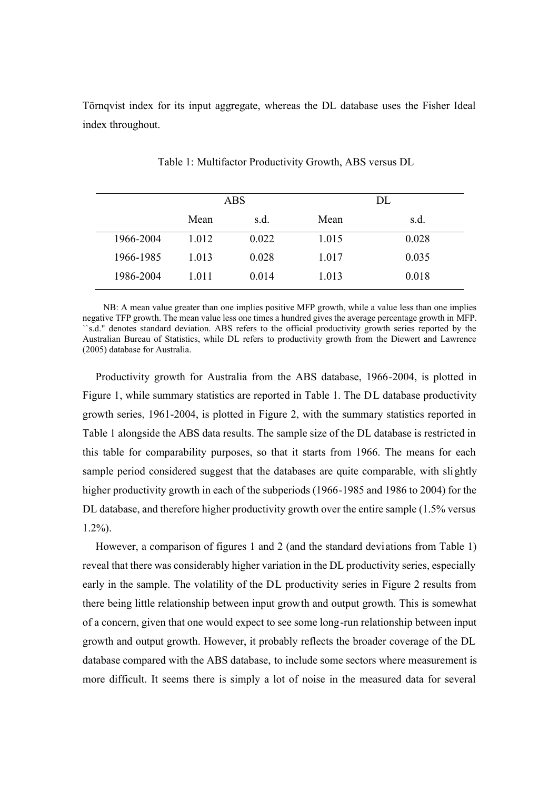Törnqvist index for its input aggregate, whereas the DL database uses the Fisher Ideal index throughout.

|           | <b>ABS</b> |       | DL    |       |
|-----------|------------|-------|-------|-------|
|           | Mean       | s.d.  | Mean  | s.d.  |
| 1966-2004 | 1 0 1 2    | 0.022 | 1.015 | 0.028 |
| 1966-1985 | 1 0 1 3    | 0.028 | 1.017 | 0.035 |
| 1986-2004 | 1 011      | 0.014 | 1.013 | 0.018 |

Table 1: Multifactor Productivity Growth, ABS versus DL

 NB: A mean value greater than one implies positive MFP growth, while a value less than one implies negative TFP growth. The mean value less one times a hundred gives the average percentage growth in MFP. ``s.d." denotes standard deviation. ABS refers to the official productivity growth series reported by the Australian Bureau of Statistics, while DL refers to productivity growth from the Diewert and Lawrence (2005) database for Australia.

Productivity growth for Australia from the ABS database, 1966-2004, is plotted in Figure 1, while summary statistics are reported in Table 1. The DL database productivity growth series, 1961-2004, is plotted in Figure 2, with the summary statistics reported in Table 1 alongside the ABS data results. The sample size of the DL database is restricted in this table for comparability purposes, so that it starts from 1966. The means for each sample period considered suggest that the databases are quite comparable, with slightly higher productivity growth in each of the subperiods (1966-1985 and 1986 to 2004) for the DL database, and therefore higher productivity growth over the entire sample (1.5% versus 1.2%).

However, a comparison of figures 1 and 2 (and the standard devi ations from Table 1) reveal that there was considerably higher variation in the DL productivity series, especially early in the sample. The volatility of the DL productivity series in Figure 2 results from there being little relationship between input growth and output growth. This is somewhat of a concern, given that one would expect to see some long-run relationship between input growth and output growth. However, it probably reflects the broader coverage of the DL database compared with the ABS database, to include some sectors where measurement is more difficult. It seems there is simply a lot of noise in the measured data for several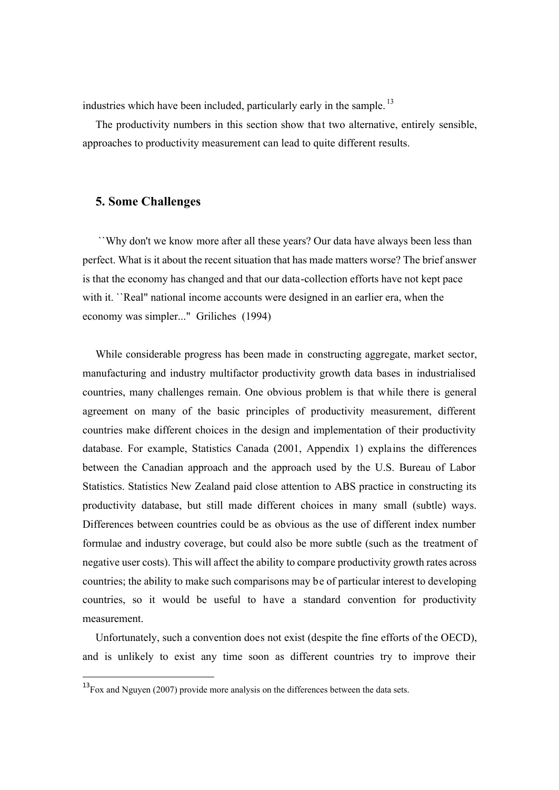industries which have been included, particularly early in the sample.<sup>13</sup>

The productivity numbers in this section show that two alternative, entirely sensible, approaches to productivity measurement can lead to quite different results.

## **5. Some Challenges**

1

 ``Why don't we know more after all these years? Our data have always been less than perfect. What is it about the recent situation that has made matters worse? The brief answer is that the economy has changed and that our data-collection efforts have not kept pace with it. ``Real" national income accounts were designed in an earlier era, when the economy was simpler..." Griliches (1994)

While considerable progress has been made in constructing aggregate, market sector, manufacturing and industry multifactor productivity growth data bases in industrialised countries, many challenges remain. One obvious problem is that while there is general agreement on many of the basic principles of productivity measurement, different countries make different choices in the design and implementation of their productivity database. For example, Statistics Canada (2001, Appendix 1) explains the differences between the Canadian approach and the approach used by the U.S. Bureau of Labor Statistics. Statistics New Zealand paid close attention to ABS practice in constructing its productivity database, but still made different choices in many small (subtle) ways. Differences between countries could be as obvious as the use of different index number formulae and industry coverage, but could also be more subtle (such as the treatment of negative user costs). This will affect the ability to compare productivity growth rates across countries; the ability to make such comparisons may be of particular interest to developing countries, so it would be useful to have a standard convention for productivity measurement.

Unfortunately, such a convention does not exist (despite the fine efforts of the OECD), and is unlikely to exist any time soon as different countries try to improve their

 $13$  Fox and Nguyen (2007) provide more analysis on the differences between the data sets.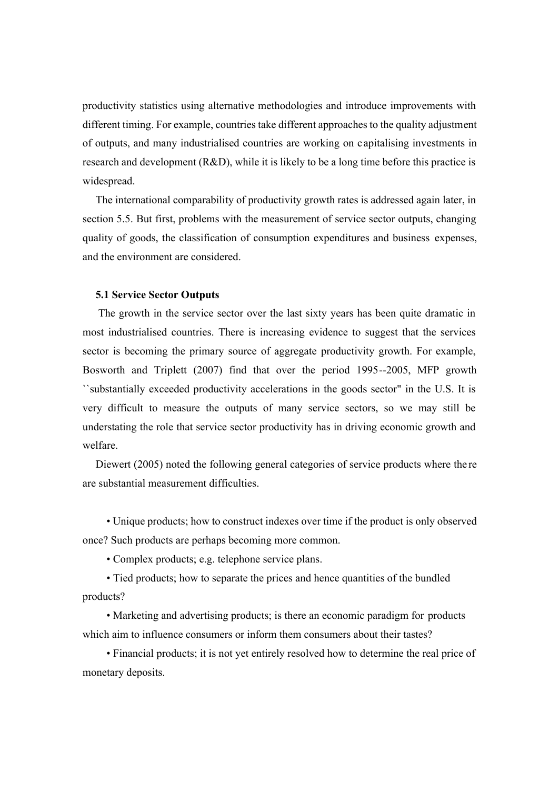productivity statistics using alternative methodologies and introduce improvements with different timing. For example, countries take different approaches to the quality adjustment of outputs, and many industrialised countries are working on c apitalising investments in research and development (R&D), while it is likely to be a long time before this practice is widespread.

The international comparability of productivity growth rates is addressed again later, in section 5.5. But first, problems with the measurement of service sector outputs, changing quality of goods, the classification of consumption expenditures and business expenses, and the environment are considered.

#### **5.1 Service Sector Outputs**

The growth in the service sector over the last sixty years has been quite dramatic in most industrialised countries. There is increasing evidence to suggest that the services sector is becoming the primary source of aggregate productivity growth. For example, Bosworth and Triplett (2007) find that over the period 1995--2005, MFP growth ``substantially exceeded productivity accelerations in the goods sector" in the U.S. It is very difficult to measure the outputs of many service sectors, so we may still be understating the role that service sector productivity has in driving economic growth and welfare.

Diewert (2005) noted the following general categories of service products where the re are substantial measurement difficulties.

• Unique products; how to construct indexes over time if the product is only observed once? Such products are perhaps becoming more common.

• Complex products; e.g. telephone service plans.

 • Tied products; how to separate the prices and hence quantities of the bundled products?

 • Marketing and advertising products; is there an economic paradigm for products which aim to influence consumers or inform them consumers about their tastes?

 • Financial products; it is not yet entirely resolved how to determine the real price of monetary deposits.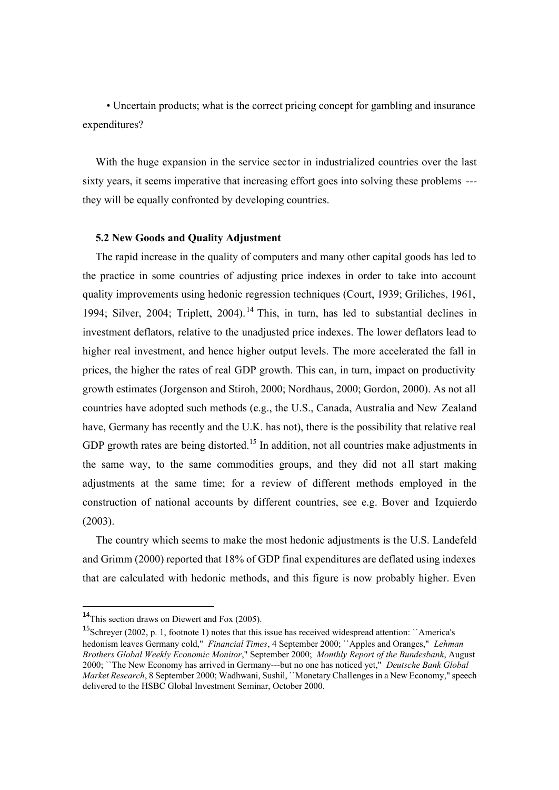• Uncertain products; what is the correct pricing concept for gambling and insurance expenditures?

With the huge expansion in the service sector in industrialized countries over the last sixty years, it seems imperative that increasing effort goes into solving these problems -- they will be equally confronted by developing countries.

## **5.2 New Goods and Quality Adjustment**

The rapid increase in the quality of computers and many other capital goods has led to the practice in some countries of adjusting price indexes in order to take into account quality improvements using hedonic regression techniques (Court, 1939; Griliches, 1961, 1994; Silver, 2004; Triplett, 2004). <sup>14</sup> This, in turn, has led to substantial declines in investment deflators, relative to the unadjusted price indexes. The lower deflators lead to higher real investment, and hence higher output levels. The more accelerated the fall in prices, the higher the rates of real GDP growth. This can, in turn, impact on productivity growth estimates (Jorgenson and Stiroh, 2000; Nordhaus, 2000; Gordon, 2000). As not all countries have adopted such methods (e.g., the U.S., Canada, Australia and New Zealand have, Germany has recently and the U.K. has not), there is the possibility that relative real GDP growth rates are being distorted.<sup>15</sup> In addition, not all countries make adjustments in the same way, to the same commodities groups, and they did not all start making adjustments at the same time; for a review of different methods employed in the construction of national accounts by different countries, see e.g. Bover and Izquierdo (2003).

The country which seems to make the most hedonic adjustments is the U.S. Landefeld and Grimm (2000) reported that 18% of GDP final expenditures are deflated using indexes that are calculated with hedonic methods, and this figure is now probably higher. Even

 $14$ This section draws on Diewert and Fox (2005).

<sup>&</sup>lt;sup>15</sup>Schreyer (2002, p. 1, footnote 1) notes that this issue has received widespread attention: ``America's hedonism leaves Germany cold," *Financial Times*, 4 September 2000; ``Apples and Oranges," *Lehman Brothers Global Weekly Economic Monitor*," September 2000; *Monthly Report of the Bundesbank*, August 2000; ``The New Economy has arrived in Germany---but no one has noticed yet," *Deutsche Bank Global Market Research*, 8 September 2000; Wadhwani, Sushil, ``Monetary Challenges in a New Economy," speech delivered to the HSBC Global Investment Seminar, October 2000.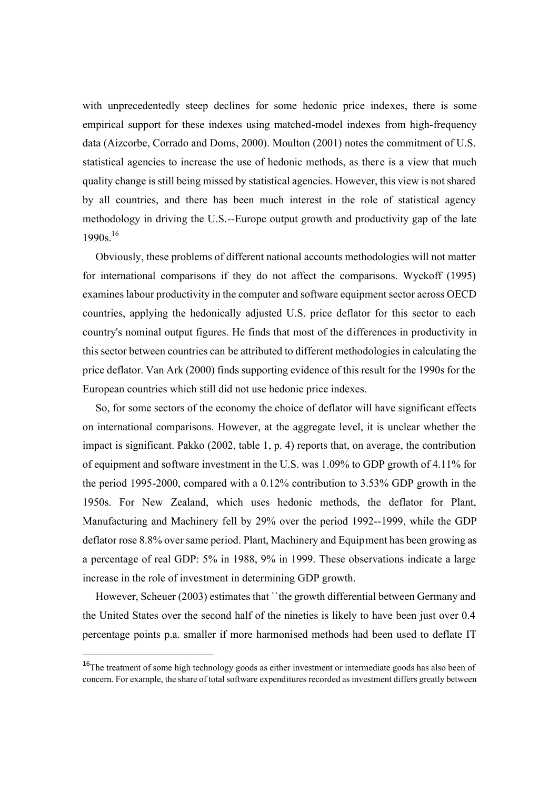with unprecedentedly steep declines for some hedonic price indexes, there is some empirical support for these indexes using matched-model indexes from high-frequency data (Aizcorbe, Corrado and Doms, 2000). Moulton (2001) notes the commitment of U.S. statistical agencies to increase the use of hedonic methods, as there is a view that much quality change is still being missed by statistical agencies. However, this view is not shared by all countries, and there has been much interest in the role of statistical agency methodology in driving the U.S.--Europe output growth and productivity gap of the late 1990s.<sup>16</sup>

Obviously, these problems of different national accounts methodologies will not matter for international comparisons if they do not affect the comparisons. Wyckoff (1995) examines labour productivity in the computer and software equipment sector across OECD countries, applying the hedonically adjusted U.S. price deflator for this sector to each country's nominal output figures. He finds that most of the differences in productivity in this sector between countries can be attributed to different methodologies in calculating the price deflator. Van Ark (2000) finds supporting evidence of this result for the 1990s for the European countries which still did not use hedonic price indexes.

So, for some sectors of the economy the choice of deflator will have significant effects on international comparisons. However, at the aggregate level, it is unclear whether the impact is significant. Pakko (2002, table 1, p. 4) reports that, on average, the contribution of equipment and software investment in the U.S. was 1.09% to GDP growth of 4.11% for the period 1995-2000, compared with a 0.12% contribution to 3.53% GDP growth in the 1950s. For New Zealand, which uses hedonic methods, the deflator for Plant, Manufacturing and Machinery fell by 29% over the period 1992--1999, while the GDP deflator rose 8.8% over same period. Plant, Machinery and Equipment has been growing as a percentage of real GDP: 5% in 1988, 9% in 1999. These observations indicate a large increase in the role of investment in determining GDP growth.

However, Scheuer (2003) estimates that ``the growth differential between Germany and the United States over the second half of the nineties is likely to have been just over 0.4 percentage points p.a. smaller if more harmonised methods had been used to deflate IT

<u>.</u>

 $16$ The treatment of some high technology goods as either investment or intermediate goods has also been of concern. For example, the share of total software expenditures recorded as investment differs greatly between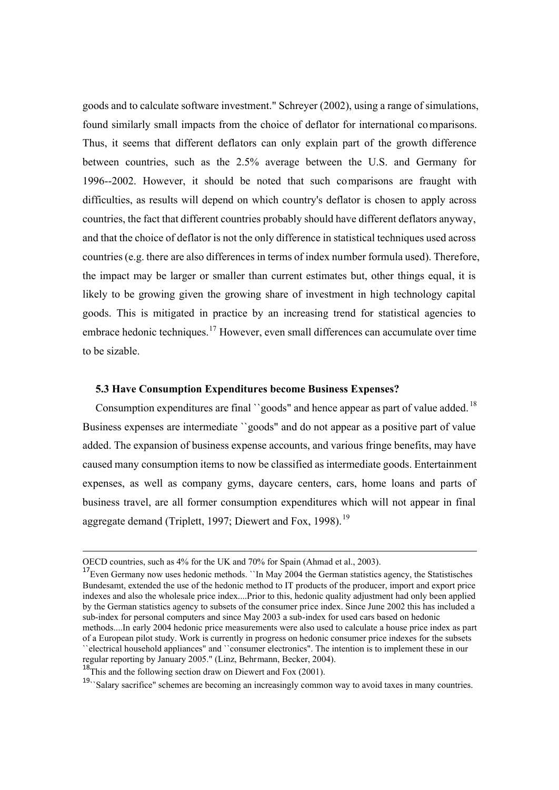goods and to calculate software investment." Schreyer (2002), using a range of simulations, found similarly small impacts from the choice of deflator for international comparisons. Thus, it seems that different deflators can only explain part of the growth difference between countries, such as the 2.5% average between the U.S. and Germany for 1996--2002. However, it should be noted that such comparisons are fraught with difficulties, as results will depend on which country's deflator is chosen to apply across countries, the fact that different countries probably should have different deflators anyway, and that the choice of deflator is not the only difference in statistical techniques used across countries (e.g. there are also differences in terms of index number formula used). Therefore, the impact may be larger or smaller than current estimates but, other things equal, it is likely to be growing given the growing share of investment in high technology capital goods. This is mitigated in practice by an increasing trend for statistical agencies to embrace hedonic techniques.<sup>17</sup> However, even small differences can accumulate over time to be sizable.

### **5.3 Have Consumption Expenditures become Business Expenses?**

Consumption expenditures are final ``goods" and hence appear as part of value added.<sup>18</sup> Business expenses are intermediate ``goods" and do not appear as a positive part of value added. The expansion of business expense accounts, and various fringe benefits, may have caused many consumption items to now be classified as intermediate goods. Entertainment expenses, as well as company gyms, daycare centers, cars, home loans and parts of business travel, are all former consumption expenditures which will not appear in final aggregate demand (Triplett, 1997; Diewert and Fox, 1998).<sup>19</sup>

 $^{18}$ This and the following section draw on Diewert and Fox (2001).

OECD countries, such as 4% for the UK and 70% for Spain (Ahmad et al., 2003).

<sup>&</sup>lt;sup>17</sup> Even Germany now uses hedonic methods. ``In May 2004 the German statistics agency, the Statistisches Bundesamt, extended the use of the hedonic method to IT products of the producer, import and export price indexes and also the wholesale price index....Prior to this, hedonic quality adjustment had only been applied by the German statistics agency to subsets of the consumer price index. Since June 2002 this has included a sub-index for personal computers and since May 2003 a sub-index for used cars based on hedonic methods....In early 2004 hedonic price measurements were also used to calculate a house price index as part of a European pilot study. Work is currently in progress on hedonic consumer price indexes for the subsets ``electrical household appliances" and ``consumer electronics". The intention is to implement these in our regular reporting by January 2005." (Linz, Behrmann, Becker, 2004).

<sup>&</sup>lt;sup>19</sup>. Salary sacrifice" schemes are becoming an increasingly common way to avoid taxes in many countries.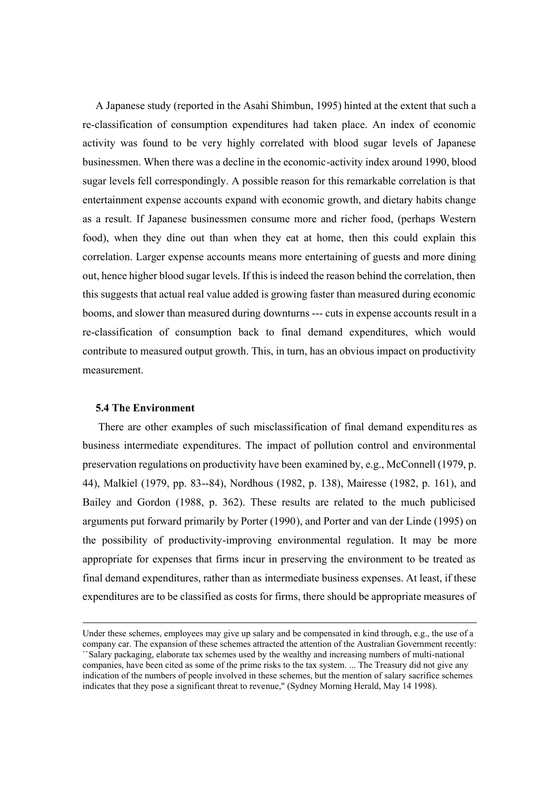A Japanese study (reported in the Asahi Shimbun, 1995) hinted at the extent that such a re-classification of consumption expenditures had taken place. An index of economic activity was found to be very highly correlated with blood sugar levels of Japanese businessmen. When there was a decline in the economic-activity index around 1990, blood sugar levels fell correspondingly. A possible reason for this remarkable correlation is that entertainment expense accounts expand with economic growth, and dietary habits change as a result. If Japanese businessmen consume more and richer food, (perhaps Western food), when they dine out than when they eat at home, then this could explain this correlation. Larger expense accounts means more entertaining of guests and more dining out, hence higher blood sugar levels. If this is indeed the reason behind the correlation, then this suggests that actual real value added is growing faster than measured during economic booms, and slower than measured during downturns --- cuts in expense accounts result in a re-classification of consumption back to final demand expenditures, which would contribute to measured output growth. This, in turn, has an obvious impact on productivity measurement.

#### **5.4 The Environment**

1

There are other examples of such misclassification of final demand expenditu res as business intermediate expenditures. The impact of pollution control and environmental preservation regulations on productivity have been examined by, e.g., McConnell (1979, p. 44), Malkiel (1979, pp. 83--84), Nordhous (1982, p. 138), Mairesse (1982, p. 161), and Bailey and Gordon (1988, p. 362). These results are related to the much publicised arguments put forward primarily by Porter (1990), and Porter and van der Linde (1995) on the possibility of productivity-improving environmental regulation. It may be more appropriate for expenses that firms incur in preserving the environment to be treated as final demand expenditures, rather than as intermediate business expenses. At least, if these expenditures are to be classified as costs for firms, there should be appropriate measures of

Under these schemes, employees may give up salary and be compensated in kind through, e.g., the use of a company car. The expansion of these schemes attracted the attention of the Australian Government recently: ``Salary packaging, elaborate tax schemes used by the wealthy and increasing numbers of multi-national companies, have been cited as some of the prime risks to the tax system. ... The Treasury did not give any indication of the numbers of people involved in these schemes, but the mention of salary sacrifice schemes indicates that they pose a significant threat to revenue," (Sydney Morning Herald, May 14 1998).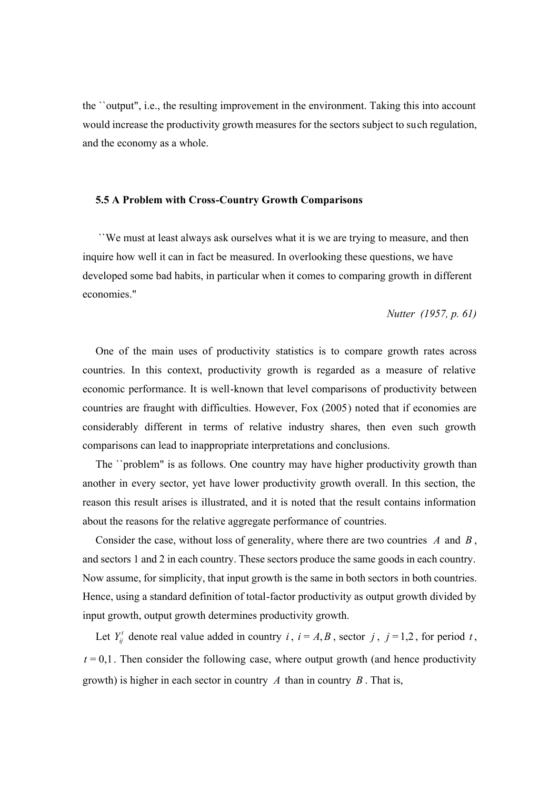the ``output", i.e., the resulting improvement in the environment. Taking this into account would increase the productivity growth measures for the sectors subject to such regulation, and the economy as a whole.

#### **5.5 A Problem with Cross-Country Growth Comparisons**

 ``We must at least always ask ourselves what it is we are trying to measure, and then inquire how well it can in fact be measured. In overlooking these questions, we have developed some bad habits, in particular when it comes to comparing growth in different economies."

## *Nutter (1957, p. 61)*

One of the main uses of productivity statistics is to compare growth rates across countries. In this context, productivity growth is regarded as a measure of relative economic performance. It is well-known that level comparisons of productivity between countries are fraught with difficulties. However, Fox (2005) noted that if economies are considerably different in terms of relative industry shares, then even such growth comparisons can lead to inappropriate interpretations and conclusions.

The ``problem" is as follows. One country may have higher productivity growth than another in every sector, yet have lower productivity growth overall. In this section, the reason this result arises is illustrated, and it is noted that the result contains information about the reasons for the relative aggregate performance of countries.

Consider the case, without loss of generality, where there are two countries *A* and *B* , and sectors 1 and 2 in each country. These sectors produce the same goods in each country. Now assume, for simplicity, that input growth is the same in both sectors in both countries. Hence, using a standard definition of total-factor productivity as output growth divided by input growth, output growth determines productivity growth.

Let  $Y^t_{ij}$  denote real value added in country *i*,  $i = A, B$ , sector *j*,  $j = 1, 2$ , for period *t*,  $t = 0,1$ . Then consider the following case, where output growth (and hence productivity growth) is higher in each sector in country *A* than in country *B* . That is,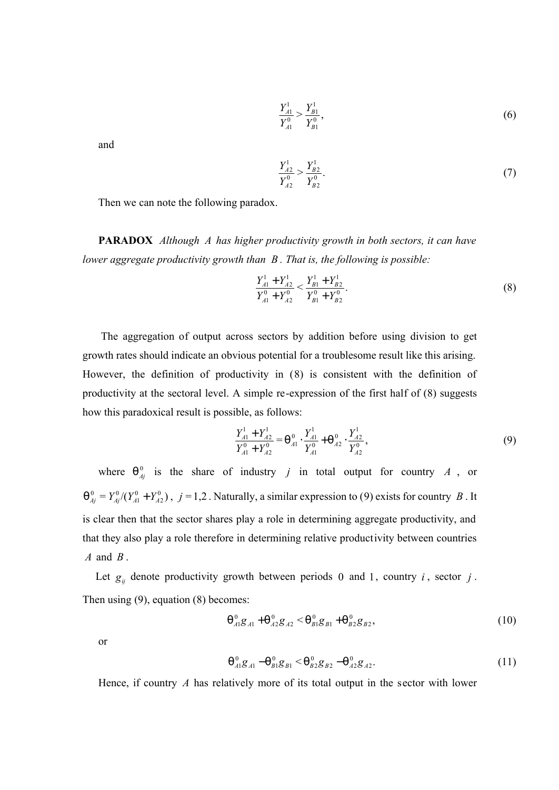$$
\frac{Y_{A1}^1}{Y_{A1}^0} > \frac{Y_{B1}^1}{Y_{B1}^0},
$$
\n(6)

and

$$
\frac{Y_{A2}^1}{Y_{A2}^0} > \frac{Y_{B2}^1}{Y_{B2}^0}.
$$
\n(7)

Then we can note the following paradox.

 **PARADOX** *Although A has higher productivity growth in both sectors, it can have lower aggregate productivity growth than B . That is, the following is possible:* 

$$
\frac{Y_{A1}^1 + Y_{A2}^1}{Y_{A1}^0 + Y_{A2}^0} < \frac{Y_{B1}^1 + Y_{B2}^1}{Y_{B1}^0 + Y_{B2}^0}.\tag{8}
$$

The aggregation of output across sectors by addition before using division to get growth rates should indicate an obvious potential for a troublesome result like this arising. However, the definition of productivity in (8) is consistent with the definition of productivity at the sectoral level. A simple re-expression of the first half of (8) suggests how this paradoxical result is possible, as follows:

$$
\frac{Y_{A1}^1 + Y_{A2}^1}{Y_{A1}^0 + Y_{A2}^0} = q_{A1}^0 \cdot \frac{Y_{A1}^1}{Y_{A1}^0} + q_{A2}^0 \cdot \frac{Y_{A2}^1}{Y_{A2}^0},
$$
\n(9)

where  $q_{ij}^0$  is the share of industry *j* in total output for country *A*, or  $=Y_{Ai}^{0}/(Y_{A1}^{0}+Y_{A2}^{0})$ 2 0 1  $q_{Aj}^0 = Y_{Aj}^0/(Y_{A1}^0 + Y_{A2}^0)$ ,  $j = 1,2$ . Naturally, a similar expression to (9) exists for country *B*. It is clear then that the sector shares play a role in determining aggregate productivity, and that they also play a role therefore in determining relative productivity between countries *A* and *B* .

Let  $g_{ij}$  denote productivity growth between periods 0 and 1, country *i*, sector *j*. Then using (9), equation (8) becomes:

$$
\mathsf{q}_{A1}^0 \mathsf{g}_{A1} + \mathsf{q}_{A2}^0 \mathsf{g}_{A2} < \mathsf{q}_{B1}^0 \mathsf{g}_{B1} + \mathsf{q}_{B2}^0 \mathsf{g}_{B2},\tag{10}
$$

or

$$
\mathsf{q}_{A1}^{0}\mathsf{g}_{A1} - \mathsf{q}_{B1}^{0}\mathsf{g}_{B1} < \mathsf{q}_{B2}^{0}\mathsf{g}_{B2} - \mathsf{q}_{A2}^{0}\mathsf{g}_{A2}.\tag{11}
$$

Hence, if country *A* has relatively more of its total output in the sector with lower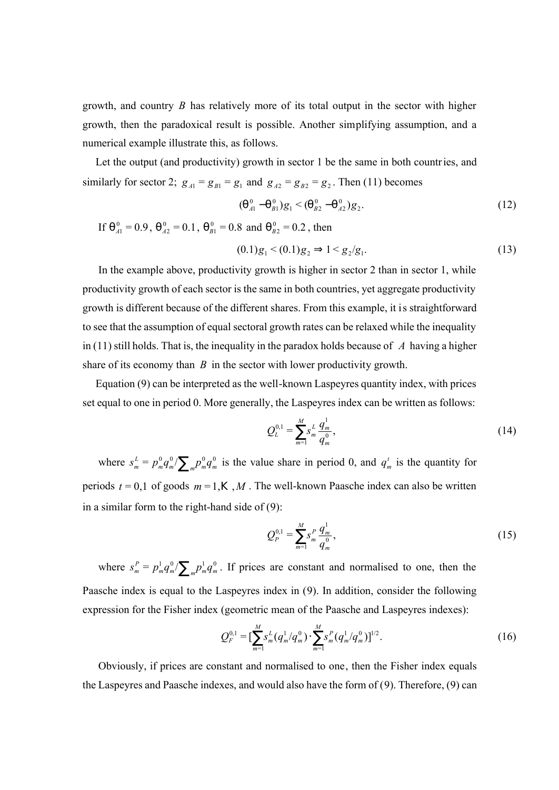growth, and country *B* has relatively more of its total output in the sector with higher growth, then the paradoxical result is possible. Another simplifying assumption, and a numerical example illustrate this, as follows.

Let the output (and productivity) growth in sector 1 be the same in both countries, and similarly for sector 2;  $g_{A1} = g_{B1} = g_1$  and  $g_{A2} = g_{B2} = g_2$ . Then (11) becomes

$$
(\mathbf{q}_{A1}^0 - \mathbf{q}_{B1}^0) \mathbf{g}_1 < (\mathbf{q}_{B2}^0 - \mathbf{q}_{A2}^0) \mathbf{g}_2. \tag{12}
$$

If 
$$
q_{A1}^0 = 0.9
$$
,  $q_{A2}^0 = 0.1$ ,  $q_{B1}^0 = 0.8$  and  $q_{B2}^0 = 0.2$ , then  
\n
$$
(0.1)g_1 < (0.1)g_2 \Rightarrow 1 < g_2/g_1.
$$
\n(13)

 In the example above, productivity growth is higher in sector 2 than in sector 1, while productivity growth of each sector is the same in both countries, yet aggregate productivity growth is different because of the different shares. From this example, it is straightforward to see that the assumption of equal sectoral growth rates can be relaxed while the inequality in (11) still holds. That is, the inequality in the paradox holds because of *A* having a higher share of its economy than *B* in the sector with lower productivity growth.

Equation (9) can be interpreted as the well-known Laspeyres quantity index, with prices set equal to one in period 0. More generally, the Laspeyres index can be written as follows:

$$
Q_L^{0,1} = \sum_{m=1}^M s_m^L \frac{q_m^1}{q_m^0},\tag{14}
$$

where  $s_m^L = p_m^0 q_m^0 / \sum_m p_m^0 q_m^0$  $s_m^L = p_m^0 q_m^0 / \sum_m p_m^0 q_m^0$  is the value share in period 0, and  $q_m^t$  is the quantity for periods  $t = 0, 1$  of goods  $m = 1, K, M$ . The well-known Paasche index can also be written in a similar form to the right-hand side of (9):

$$
Q_P^{0,1} = \sum_{m=1}^M s_m^P \frac{q_m^1}{q_m^0},\tag{15}
$$

where  $s_m^P = p_m^1 q_m^0 / \sum_m p_m^1 q_m^0$ . If prices are constant and normalised to one, then the Paasche index is equal to the Laspeyres index in (9). In addition, consider the following expression for the Fisher index (geometric mean of the Paasche and Laspeyres indexes):

$$
Q_F^{0,1} = \left[\sum_{m=1}^M s_m^L (q_m^1/q_m^0) \cdot \sum_{m=1}^M s_m^P (q_m^1/q_m^0)\right]^{1/2}.
$$
 (16)

Obviously, if prices are constant and normalised to one, then the Fisher index equals the Laspeyres and Paasche indexes, and would also have the form of (9). Therefore, (9) can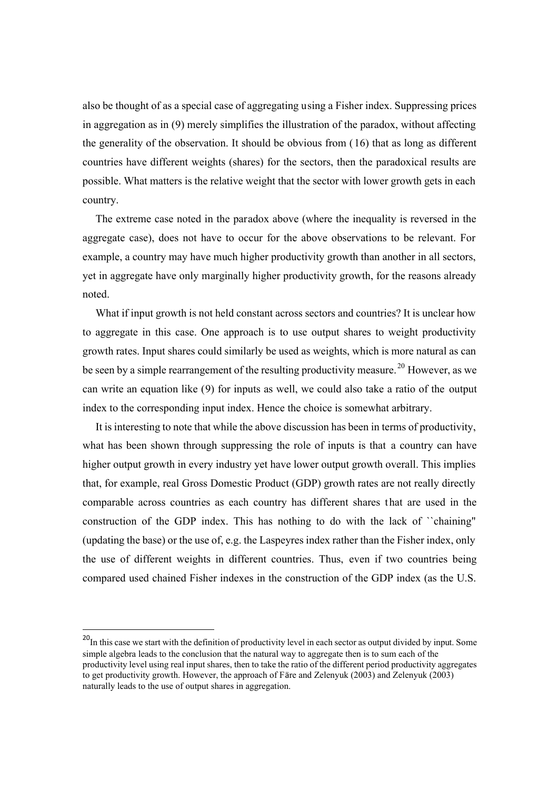also be thought of as a special case of aggregating using a Fisher index. Suppressing prices in aggregation as in (9) merely simplifies the illustration of the paradox, without affecting the generality of the observation. It should be obvious from (16) that as long as different countries have different weights (shares) for the sectors, then the paradoxical results are possible. What matters is the relative weight that the sector with lower growth gets in each country.

The extreme case noted in the paradox above (where the inequality is reversed in the aggregate case), does not have to occur for the above observations to be relevant. For example, a country may have much higher productivity growth than another in all sectors, yet in aggregate have only marginally higher productivity growth, for the reasons already noted.

What if input growth is not held constant across sectors and countries? It is unclear how to aggregate in this case. One approach is to use output shares to weight productivity growth rates. Input shares could similarly be used as weights, which is more natural as can be seen by a simple rearrangement of the resulting productivity measure.<sup>20</sup> However, as we can write an equation like (9) for inputs as well, we could also take a ratio of the output index to the corresponding input index. Hence the choice is somewhat arbitrary.

It is interesting to note that while the above discussion has been in terms of productivity, what has been shown through suppressing the role of inputs is that a country can have higher output growth in every industry yet have lower output growth overall. This implies that, for example, real Gross Domestic Product (GDP) growth rates are not really directly comparable across countries as each country has different shares that are used in the construction of the GDP index. This has nothing to do with the lack of ``chaining" (updating the base) or the use of, e.g. the Laspeyres index rather than the Fisher index, only the use of different weights in different countries. Thus, even if two countries being compared used chained Fisher indexes in the construction of the GDP index (as the U.S.

<u>.</u>

 $^{20}$ In this case we start with the definition of productivity level in each sector as output divided by input. Some simple algebra leads to the conclusion that the natural way to aggregate then is to sum each of the productivity level using real input shares, then to take the ratio of the different period productivity aggregates to get productivity growth. However, the approach of Färe and Zelenyuk (2003) and Zelenyuk (2003) naturally leads to the use of output shares in aggregation.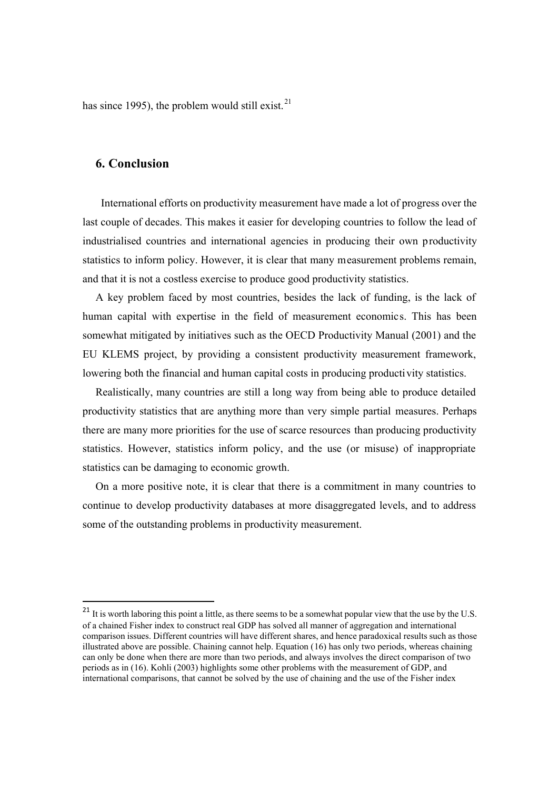has since 1995), the problem would still exist.  $2<sup>1</sup>$ 

# **6. Conclusion**

1

International efforts on productivity measurement have made a lot of progress over the last couple of decades. This makes it easier for developing countries to follow the lead of industrialised countries and international agencies in producing their own productivity statistics to inform policy. However, it is clear that many measurement problems remain, and that it is not a costless exercise to produce good productivity statistics.

A key problem faced by most countries, besides the lack of funding, is the lack of human capital with expertise in the field of measurement economics. This has been somewhat mitigated by initiatives such as the OECD Productivity Manual (2001) and the EU KLEMS project, by providing a consistent productivity measurement framework, lowering both the financial and human capital costs in producing productivity statistics.

Realistically, many countries are still a long way from being able to produce detailed productivity statistics that are anything more than very simple partial measures. Perhaps there are many more priorities for the use of scarce resources than producing productivity statistics. However, statistics inform policy, and the use (or misuse) of inappropriate statistics can be damaging to economic growth.

On a more positive note, it is clear that there is a commitment in many countries to continue to develop productivity databases at more disaggregated levels, and to address some of the outstanding problems in productivity measurement.

 $^{21}$  It is worth laboring this point a little, as there seems to be a somewhat popular view that the use by the U.S. of a chained Fisher index to construct real GDP has solved all manner of aggregation and international comparison issues. Different countries will have different shares, and hence paradoxical results such as those illustrated above are possible. Chaining cannot help. Equation (16) has only two periods, whereas chaining can only be done when there are more than two periods, and always involves the direct comparison of two periods as in (16). Kohli (2003) highlights some other problems with the measurement of GDP, and international comparisons, that cannot be solved by the use of chaining and the use of the Fisher index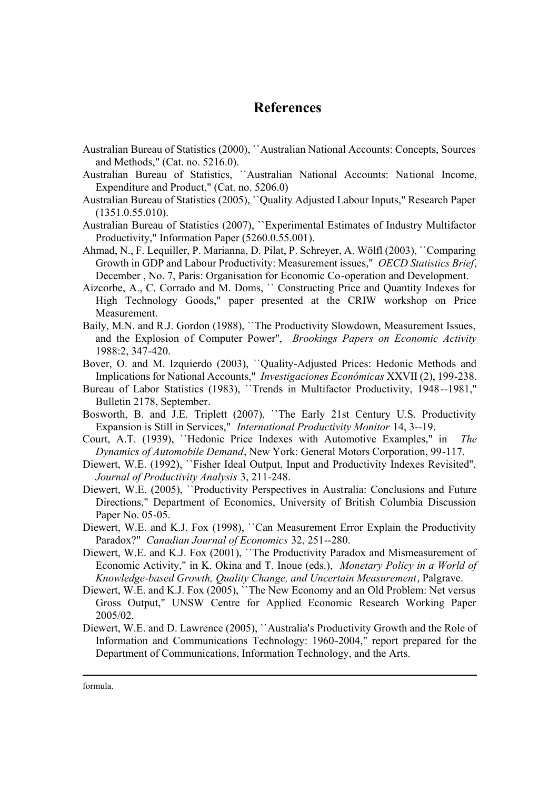# **References**

- Australian Bureau of Statistics (2000), ``Australian National Accounts: Concepts, Sources and Methods," (Cat. no. 5216.0).
- Australian Bureau of Statistics, ``Australian National Accounts: National Income, Expenditure and Product," (Cat. no. 5206.0)
- Australian Bureau of Statistics (2005), ``Quality Adjusted Labour Inputs," Research Paper (1351.0.55.010).
- Australian Bureau of Statistics (2007), ``Experimental Estimates of Industry Multifactor Productivity," Information Paper (5260.0.55.001).
- Ahmad, N., F. Lequiller, P. Marianna, D. Pilat, P. Schreyer, A. Wölfl (2003), ``Comparing Growth in GDP and Labour Productivity: Measurement issues," *OECD Statistics Brief*, December , No. 7, Paris: Organisation for Economic Co-operation and Development.
- Aizcorbe, A., C. Corrado and M. Doms, `` Constructing Price and Quantity Indexes for High Technology Goods," paper presented at the CRIW workshop on Price Measurement.
- Baily, M.N. and R.J. Gordon (1988), "The Productivity Slowdown, Measurement Issues, and the Explosion of Computer Power'', *Brookings Papers on Economic Activity* 1988:2, 347-420.
- Bover, O. and M. Izquierdo (2003), ``Quality-Adjusted Prices: Hedonic Methods and Implications for National Accounts," *Investigaciones Económicas* XXVII (2), 199-238.
- Bureau of Labor Statistics (1983), ``Trends in Multifactor Productivity, 1948--1981," Bulletin 2178, September.
- Bosworth, B. and J.E. Triplett (2007), 'The Early 21st Century U.S. Productivity Expansion is Still in Services," *International Productivity Monitor* 14, 3--19.
- Court, A.T. (1939), ``Hedonic Price Indexes with Automotive Examples," in *The Dynamics of Automobile Demand*, New York: General Motors Corporation, 99-117.
- Diewert, W.E. (1992), ``Fisher Ideal Output, Input and Productivity Indexes Revisited'', *Journal of Productivity Analysis* 3, 211-248.
- Diewert, W.E. (2005), ``Productivity Perspectives in Australia: Conclusions and Future Directions," Department of Economics, University of British Columbia Discussion Paper No. 05-05.
- Diewert, W.E. and K.J. Fox (1998), "Can Measurement Error Explain the Productivity Paradox?" *Canadian Journal of Economics* 32, 251--280.
- Diewert, W.E. and K.J. Fox (2001), "The Productivity Paradox and Mismeasurement of Economic Activity," in K. Okina and T. Inoue (eds.), *Monetary Policy in a World of Knowledge-based Growth, Quality Change, and Uncertain Measurement*, Palgrave.
- Diewert, W.E. and K.J. Fox (2005), 'The New Economy and an Old Problem: Net versus Gross Output," UNSW Centre for Applied Economic Research Working Paper 2005/02.
- Diewert, W.E. and D. Lawrence (2005), "Australia's Productivity Growth and the Role of Information and Communications Technology: 1960-2004," report prepared for the Department of Communications, Information Technology, and the Arts.

formula.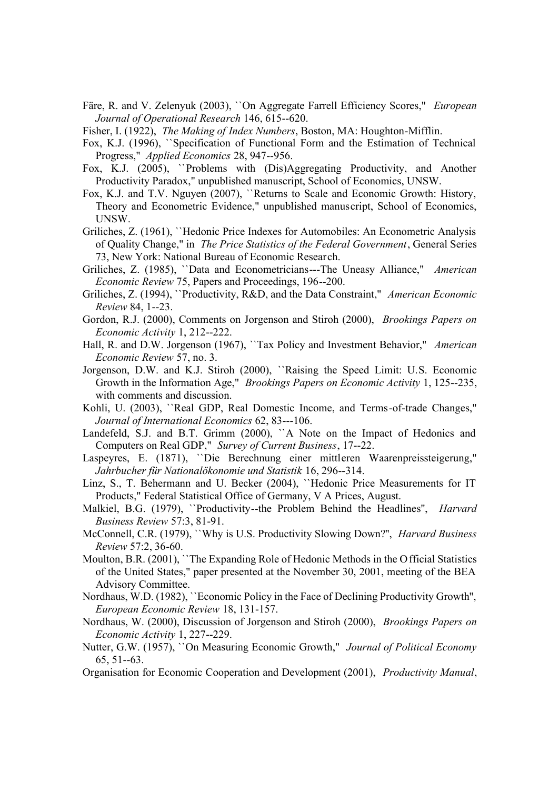- Färe, R. and V. Zelenyuk (2003), ``On Aggregate Farrell Efficiency Scores," *European Journal of Operational Research* 146, 615--620.
- Fisher, I. (1922), *The Making of Index Numbers*, Boston, MA: Houghton-Mifflin.
- Fox, K.J. (1996), ``Specification of Functional Form and the Estimation of Technical Progress," *Applied Economics* 28, 947--956.
- Fox, K.J. (2005), ``Problems with (Dis)Aggregating Productivity, and Another Productivity Paradox," unpublished manuscript, School of Economics, UNSW.
- Fox, K.J. and T.V. Nguyen (2007), ``Returns to Scale and Economic Growth: History, Theory and Econometric Evidence," unpublished manuscript, School of Economics, UNSW.
- Griliches, Z. (1961), ``Hedonic Price Indexes for Automobiles: An Econometric Analysis of Quality Change," in *The Price Statistics of the Federal Government*, General Series 73, New York: National Bureau of Economic Research.
- Griliches, Z. (1985), ``Data and Econometricians---The Uneasy Alliance," *American Economic Review* 75, Papers and Proceedings, 196--200.
- Griliches, Z. (1994), ``Productivity, R&D, and the Data Constraint," *American Economic Review* 84, 1--23.
- Gordon, R.J. (2000), Comments on Jorgenson and Stiroh (2000), *Brookings Papers on Economic Activity* 1, 212--222.
- Hall, R. and D.W. Jorgenson (1967), ``Tax Policy and Investment Behavior," *American Economic Review* 57, no. 3.
- Jorgenson, D.W. and K.J. Stiroh (2000), ``Raising the Speed Limit: U.S. Economic Growth in the Information Age," *Brookings Papers on Economic Activity* 1, 125--235, with comments and discussion.
- Kohli, U. (2003), ``Real GDP, Real Domestic Income, and Terms-of-trade Changes," *Journal of International Economics* 62, 83---106.
- Landefeld, S.J. and B.T. Grimm (2000), "A Note on the Impact of Hedonics and Computers on Real GDP," *Survey of Current Business*, 17--22.
- Laspeyres, E. (1871), ``Die Berechnung einer mittleren Waarenpreissteigerung," *Jahrbucher für Nationalökonomie und Statistik* 16, 296--314.
- Linz, S., T. Behermann and U. Becker (2004), ``Hedonic Price Measurements for IT Products," Federal Statistical Office of Germany, V A Prices, August.
- Malkiel, B.G. (1979), ``Productivity--the Problem Behind the Headlines'', *Harvard Business Review* 57:3, 81-91.
- McConnell, C.R. (1979), ``Why is U.S. Productivity Slowing Down?'', *Harvard Business Review* 57:2, 36-60.
- Moulton, B.R. (2001), "The Expanding Role of Hedonic Methods in the Official Statistics of the United States," paper presented at the November 30, 2001, meeting of the BEA Advisory Committee.
- Nordhaus, W.D. (1982), ``Economic Policy in the Face of Declining Productivity Growth'', *European Economic Review* 18, 131-157.
- Nordhaus, W. (2000), Discussion of Jorgenson and Stiroh (2000), *Brookings Papers on Economic Activity* 1, 227--229.
- Nutter, G.W. (1957), ``On Measuring Economic Growth," *Journal of Political Economy* 65, 51--63.
- Organisation for Economic Cooperation and Development (2001), *Productivity Manual*,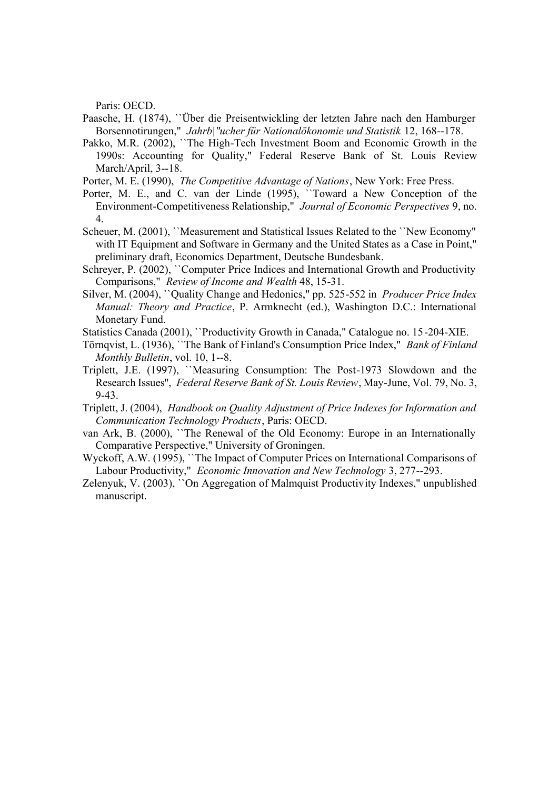Paris: OECD.

Paasche, H. (1874), ``Über die Preisentwickling der letzten Jahre nach den Hamburger Borsennotirungen," *Jahrb|"ucher für Nationalökonomie und Statistik* 12, 168--178.

- Pakko, M.R. (2002), ''The High-Tech Investment Boom and Economic Growth in the 1990s: Accounting for Quality," Federal Reserve Bank of St. Louis Review March/April, 3--18.
- Porter, M. E. (1990), *The Competitive Advantage of Nations*, New York: Free Press.
- Porter, M. E., and C. van der Linde (1995), "Toward a New Conception of the Environment-Competitiveness Relationship," *Journal of Economic Perspectives* 9, no. 4.
- Scheuer, M. (2001), ``Measurement and Statistical Issues Related to the ``New Economy" with IT Equipment and Software in Germany and the United States as a Case in Point," preliminary draft, Economics Department, Deutsche Bundesbank.
- Schreyer, P. (2002), ''Computer Price Indices and International Growth and Productivity Comparisons," *Review of Income and Wealth* 48, 15-31.
- Silver, M. (2004), ``Quality Change and Hedonics," pp. 525-552 in *Producer Price Index Manual: Theory and Practice*, P. Armknecht (ed.), Washington D.C.: International Monetary Fund.
- Statistics Canada (2001), ``Productivity Growth in Canada," Catalogue no. 15-204-XIE.
- Törnqvist, L. (1936), ``The Bank of Finland's Consumption Price Index," *Bank of Finland Monthly Bulletin*, vol. 10, 1--8.
- Triplett, J.E. (1997), ``Measuring Consumption: The Post-1973 Slowdown and the Research Issues'', *Federal Reserve Bank of St. Louis Review*, May-June, Vol. 79, No. 3, 9-43.
- Triplett, J. (2004), *Handbook on Quality Adjustment of Price Indexes for Information and Communication Technology Products*, Paris: OECD.
- van Ark, B. (2000), ``The Renewal of the Old Economy: Europe in an Internationally Comparative Perspective," University of Groningen.
- Wyckoff, A.W. (1995), ``The Impact of Computer Prices on International Comparisons of Labour Productivity," *Economic Innovation and New Technology* 3, 277--293.
- Zelenyuk, V. (2003), ``On Aggregation of Malmquist Productivity Indexes," unpublished manuscript.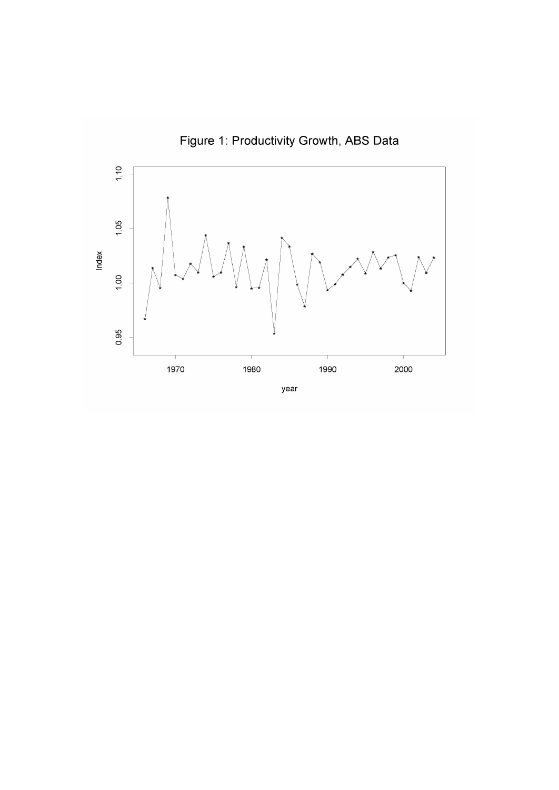Figure 1: Productivity Growth, ABS Data